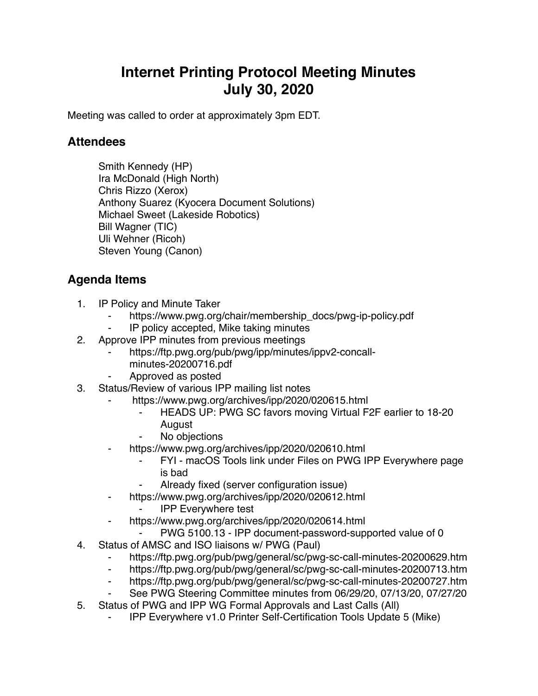## **Internet Printing Protocol Meeting Minutes July 30, 2020**

Meeting was called to order at approximately 3pm EDT.

## **Attendees**

Smith Kennedy (HP) Ira McDonald (High North) Chris Rizzo (Xerox) Anthony Suarez (Kyocera Document Solutions) Michael Sweet (Lakeside Robotics) Bill Wagner (TIC) Uli Wehner (Ricoh) Steven Young (Canon)

## **Agenda Items**

- 1. IP Policy and Minute Taker
	- https://www.pwg.org/chair/membership\_docs/pwg-ip-policy.pdf
	- ⁃ IP policy accepted, Mike taking minutes
- 2. Approve IPP minutes from previous meetings
	- https://ftp.pwg.org/pub/pwg/ipp/minutes/ippv2-concall
		- minutes-20200716.pdf
	- ⁃ Approved as posted
- 3. Status/Review of various IPP mailing list notes
	- https://www.pwg.org/archives/ipp/2020/020615.html
		- HEADS UP: PWG SC favors moving Virtual F2F earlier to 18-20 August
		- No objections
	- https://www.pwg.org/archives/ipp/2020/020610.html
		- FYI macOS Tools link under Files on PWG IPP Everywhere page is bad
		- Already fixed (server configuration issue)
	- ⁃ https://www.pwg.org/archives/ipp/2020/020612.html
		- **IPP Everywhere test**
	- ⁃ https://www.pwg.org/archives/ipp/2020/020614.html
		- PWG 5100.13 IPP document-password-supported value of 0
- 4. Status of AMSC and ISO liaisons w/ PWG (Paul)
	- https://ftp.pwg.org/pub/pwg/general/sc/pwg-sc-call-minutes-20200629.htm
	- ⁃ https://ftp.pwg.org/pub/pwg/general/sc/pwg-sc-call-minutes-20200713.htm
	- ⁃ https://ftp.pwg.org/pub/pwg/general/sc/pwg-sc-call-minutes-20200727.htm
	- See PWG Steering Committee minutes from 06/29/20, 07/13/20, 07/27/20
- 5. Status of PWG and IPP WG Formal Approvals and Last Calls (All)
	- ⁃ IPP Everywhere v1.0 Printer Self-Certification Tools Update 5 (Mike)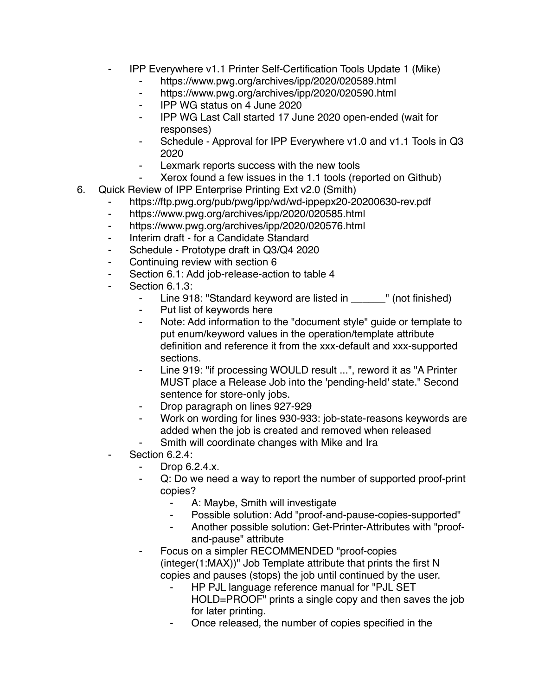- ⁃ IPP Everywhere v1.1 Printer Self-Certification Tools Update 1 (Mike)
	- ⁃ https://www.pwg.org/archives/ipp/2020/020589.html
	- ⁃ https://www.pwg.org/archives/ipp/2020/020590.html
	- ⁃ IPP WG status on 4 June 2020
	- ⁃ IPP WG Last Call started 17 June 2020 open-ended (wait for responses)
	- ⁃ Schedule Approval for IPP Everywhere v1.0 and v1.1 Tools in Q3 2020
	- Lexmark reports success with the new tools
		- Xerox found a few issues in the 1.1 tools (reported on Github)
- 6. Quick Review of IPP Enterprise Printing Ext v2.0 (Smith)
	- ⁃ https://ftp.pwg.org/pub/pwg/ipp/wd/wd-ippepx20-20200630-rev.pdf
	- ⁃ https://www.pwg.org/archives/ipp/2020/020585.html
	- ⁃ https://www.pwg.org/archives/ipp/2020/020576.html
	- ⁃ Interim draft for a Candidate Standard
	- Schedule Prototype draft in Q3/Q4 2020
	- Continuing review with section 6
	- Section 6.1: Add job-release-action to table 4
	- Section 6.1.3:
		- Line 918: "Standard keyword are listed in \_\_\_\_\_\_" (not finished)
		- ⁃ Put list of keywords here
		- ⁃ Note: Add information to the "document style" guide or template to put enum/keyword values in the operation/template attribute definition and reference it from the xxx-default and xxx-supported sections.
		- Line 919: "if processing WOULD result ...", reword it as "A Printer MUST place a Release Job into the 'pending-held' state." Second sentence for store-only jobs.
		- Drop paragraph on lines 927-929
		- Work on wording for lines 930-933: job-state-reasons keywords are added when the job is created and removed when released
		- Smith will coordinate changes with Mike and Ira
	- Section 6.2.4:
		- ⁃ Drop 6.2.4.x.
		- Q: Do we need a way to report the number of supported proof-print copies?
			- ⁃ A: Maybe, Smith will investigate
			- Possible solution: Add "proof-and-pause-copies-supported"
			- Another possible solution: Get-Printer-Attributes with "proofand-pause" attribute
		- Focus on a simpler RECOMMENDED "proof-copies (integer(1:MAX))" Job Template attribute that prints the first N copies and pauses (stops) the job until continued by the user.
			- ⁃ HP PJL language reference manual for "PJL SET HOLD=PROOF" prints a single copy and then saves the job for later printing.
			- ⁃ Once released, the number of copies specified in the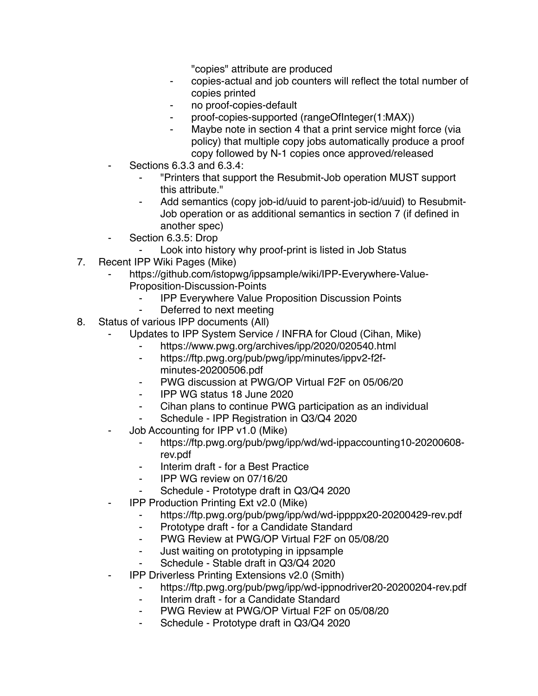"copies" attribute are produced

- ⁃ copies-actual and job counters will reflect the total number of copies printed
- no proof-copies-default
- proof-copies-supported (rangeOfInteger(1:MAX))
- Maybe note in section 4 that a print service might force (via policy) that multiple copy jobs automatically produce a proof copy followed by N-1 copies once approved/released
- ⁃ Sections 6.3.3 and 6.3.4:
	- ⁃ "Printers that support the Resubmit-Job operation MUST support this attribute."
	- Add semantics (copy job-id/uuid to parent-job-id/uuid) to Resubmit-Job operation or as additional semantics in section 7 (if defined in another spec)
- Section 6.3.5: Drop
	- Look into history why proof-print is listed in Job Status
- 7. Recent IPP Wiki Pages (Mike)
	- https://github.com/istopwg/ippsample/wiki/IPP-Everywhere-Value-Proposition-Discussion-Points
		- ⁃ IPP Everywhere Value Proposition Discussion Points
		- Deferred to next meeting
- 8. Status of various IPP documents (All)
	- Updates to IPP System Service / INFRA for Cloud (Cihan, Mike)
		- https://www.pwg.org/archives/ipp/2020/020540.html
		- ⁃ https://ftp.pwg.org/pub/pwg/ipp/minutes/ippv2-f2fminutes-20200506.pdf
		- PWG discussion at PWG/OP Virtual F2F on 05/06/20
		- ⁃ IPP WG status 18 June 2020
		- Cihan plans to continue PWG participation as an individual
		- Schedule IPP Registration in Q3/Q4 2020
	- Job Accounting for IPP v1.0 (Mike)
		- ⁃ https://ftp.pwg.org/pub/pwg/ipp/wd/wd-ippaccounting10-20200608 rev.pdf
		- ⁃ Interim draft for a Best Practice
		- ⁃ IPP WG review on 07/16/20
		- Schedule Prototype draft in Q3/Q4 2020
	- **IPP Production Printing Ext v2.0 (Mike)** 
		- ⁃ https://ftp.pwg.org/pub/pwg/ipp/wd/wd-ippppx20-20200429-rev.pdf
		- ⁃ Prototype draft for a Candidate Standard
		- ⁃ PWG Review at PWG/OP Virtual F2F on 05/08/20
		- ⁃ Just waiting on prototyping in ippsample
		- ⁃ Schedule Stable draft in Q3/Q4 2020
	- **IPP Driverless Printing Extensions v2.0 (Smith)** 
		- ⁃ https://ftp.pwg.org/pub/pwg/ipp/wd-ippnodriver20-20200204-rev.pdf
		- ⁃ Interim draft for a Candidate Standard
		- PWG Review at PWG/OP Virtual F2F on 05/08/20
		- Schedule Prototype draft in Q3/Q4 2020